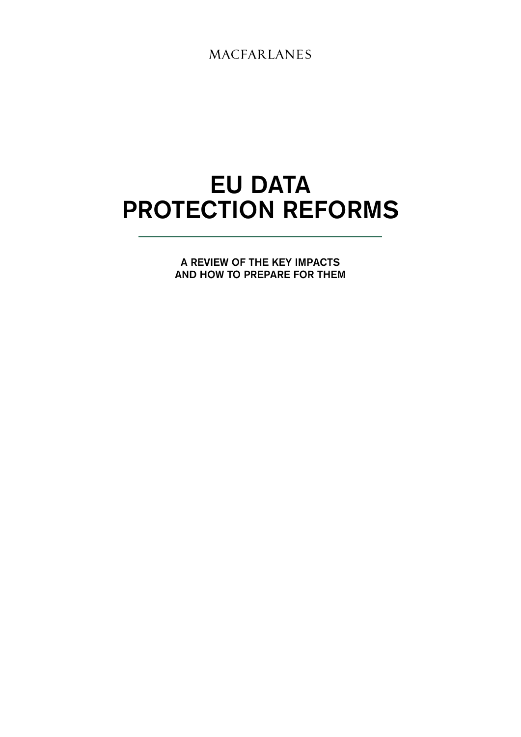**MACFARLANES** 

# EU DATA PROTECTION REFORMS

A REVIEW OF THE KEY IMPACTS AND HOW TO PREPARE FOR THEM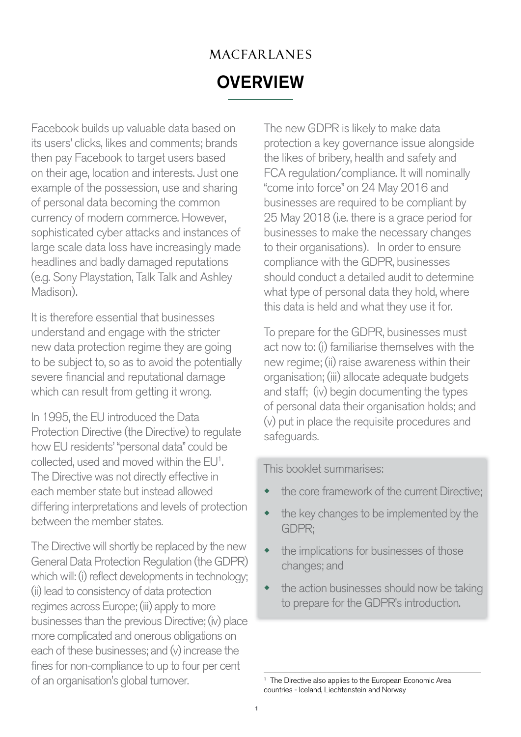## MACFARLANES **OVERVIEW**

Facebook builds up valuable data based on its users' clicks, likes and comments; brands then pay Facebook to target users based on their age, location and interests. Just one example of the possession, use and sharing of personal data becoming the common currency of modern commerce. However, sophisticated cyber attacks and instances of large scale data loss have increasingly made headlines and badly damaged reputations (e.g. Sony Playstation, Talk Talk and Ashley Madison).

It is therefore essential that businesses understand and engage with the stricter new data protection regime they are going to be subject to, so as to avoid the potentially severe financial and reputational damage which can result from getting it wrong.

In 1995, the EU introduced the Data Protection Directive (the Directive) to regulate how EU residents' "personal data" could be collected, used and moved within the EU<sup>1</sup>. The Directive was not directly effective in each member state but instead allowed differing interpretations and levels of protection between the member states.

The Directive will shortly be replaced by the new General Data Protection Regulation (the GDPR) which will: (i) reflect developments in technology; (ii) lead to consistency of data protection regimes across Europe; (iii) apply to more businesses than the previous Directive; (iv) place more complicated and onerous obligations on each of these businesses; and (v) increase the fines for non-compliance to up to four per cent of an organisation's global turnover.

The new GDPR is likely to make data protection a key governance issue alongside the likes of bribery, health and safety and FCA regulation/compliance. It will nominally "come into force" on 24 May 2016 and businesses are required to be compliant by 25 May 2018 (i.e. there is a grace period for businesses to make the necessary changes to their organisations). In order to ensure compliance with the GDPR, businesses should conduct a detailed audit to determine what type of personal data they hold, where this data is held and what they use it for.

To prepare for the GDPR, businesses must act now to: (i) familiarise themselves with the new regime; (ii) raise awareness within their organisation; (iii) allocate adequate budgets and staff; (iv) begin documenting the types of personal data their organisation holds; and (v) put in place the requisite procedures and safeguards.

This booklet summarises:

- the core framework of the current Directive;
- the key changes to be implemented by the GDPR;
- the implications for businesses of those changes; and
- $\bullet$  the action businesses should now be taking to prepare for the GDPR's introduction.

<sup>&</sup>lt;sup>1</sup> The Directive also applies to the European Economic Area countries - Iceland, Liechtenstein and Norway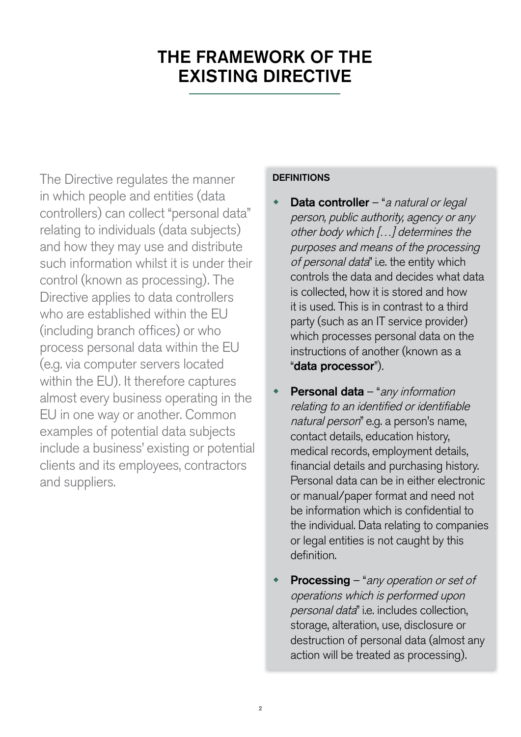## THE FRAMEWORK OF THE EXISTING DIRECTIVE

The Directive regulates the manner in which people and entities (data controllers) can collect "personal data" relating to individuals (data subjects) and how they may use and distribute such information whilst it is under their control (known as processing). The Directive applies to data controllers who are established within the FU (including branch offices) or who process personal data within the EU (e.g. via computer servers located within the EU). It therefore captures almost every business operating in the EU in one way or another. Common examples of potential data subjects include a business' existing or potential clients and its employees, contractors and suppliers.

#### **DEFINITIONS**

- **Data controller** "a natural or legal person, public authority, agency or any other body which […] determines the purposes and means of the processing of personal data" i.e. the entity which controls the data and decides what data is collected, how it is stored and how it is used. This is in contrast to a third party (such as an IT service provider) which processes personal data on the instructions of another (known as a "data processor").
- **Personal data** "any information relating to an identified or identifiable natural person" e.g. a person's name, contact details, education history, medical records, employment details, financial details and purchasing history. Personal data can be in either electronic or manual/paper format and need not be information which is confidential to the individual. Data relating to companies or legal entities is not caught by this definition.
- **Processing** "any operation or set of operations which is performed upon personal data" i.e. includes collection, storage, alteration, use, disclosure or destruction of personal data (almost any action will be treated as processing).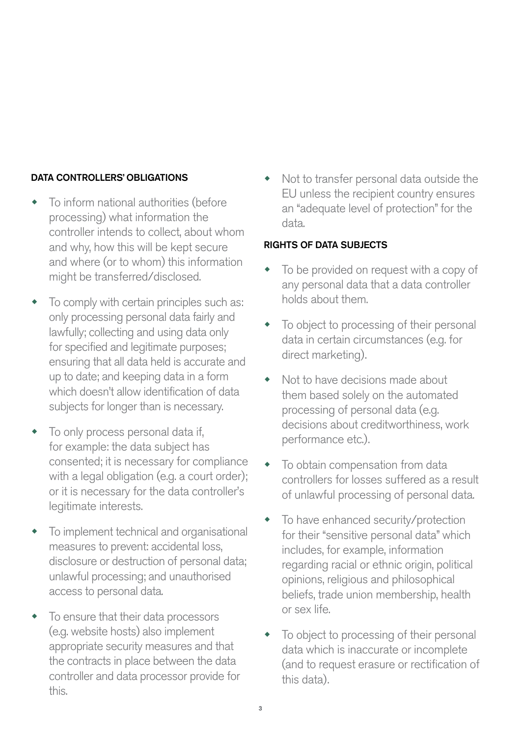#### DATA CONTROLLERS' OBLIGATIONS

- To inform national authorities (before processing) what information the controller intends to collect, about whom and why, how this will be kept secure and where (or to whom) this information might be transferred/disclosed.
- To comply with certain principles such as: only processing personal data fairly and lawfully; collecting and using data only for specified and legitimate purposes; ensuring that all data held is accurate and up to date; and keeping data in a form which doesn't allow identification of data subjects for longer than is necessary.
- To only process personal data if, for example: the data subject has consented; it is necessary for compliance with a legal obligation (e.g. a court order); or it is necessary for the data controller's legitimate interests.
- To implement technical and organisational measures to prevent: accidental loss, disclosure or destruction of personal data; unlawful processing; and unauthorised access to personal data.
- To ensure that their data processors (e.g. website hosts) also implement appropriate security measures and that the contracts in place between the data controller and data processor provide for this.

Not to transfer personal data outside the EU unless the recipient country ensures an "adequate level of protection" for the data.

#### RIGHTS OF DATA SUBJECTS

- To be provided on request with a copy of any personal data that a data controller holds about them.
- To object to processing of their personal data in certain circumstances (e.g. for direct marketing).
- Not to have decisions made about them based solely on the automated processing of personal data (e.g. decisions about creditworthiness, work performance etc.).
- To obtain compensation from data controllers for losses suffered as a result of unlawful processing of personal data.
- To have enhanced security/protection for their "sensitive personal data" which includes, for example, information regarding racial or ethnic origin, political opinions, religious and philosophical beliefs, trade union membership, health or sex life.
- To object to processing of their personal data which is inaccurate or incomplete (and to request erasure or rectification of this data).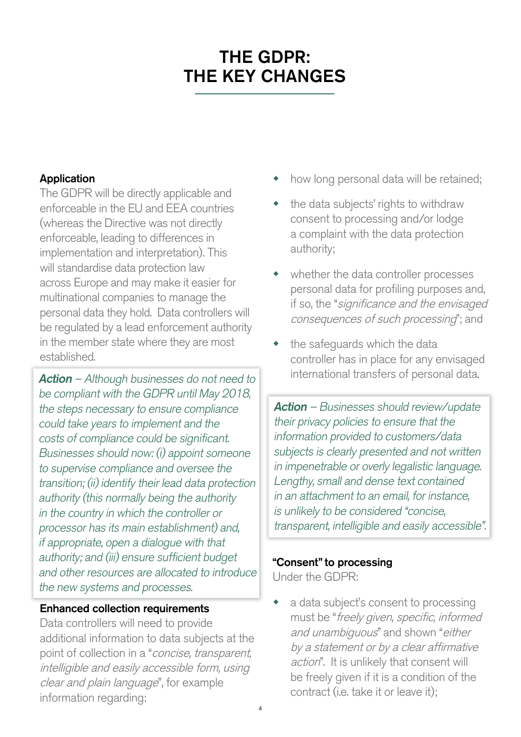## THE GDPR: THE KEY CHANGES

## Application

The GDPR will be directly applicable and enforceable in the EU and EEA countries (whereas the Directive was not directly enforceable, leading to differences in implementation and interpretation). This will standardise data protection law across Europe and may make it easier for multinational companies to manage the personal data they hold. Data controllers will be regulated by a lead enforcement authority in the member state where they are most established.

**Action** – Although businesses do not need to be compliant with the GDPR until May 2018, the steps necessary to ensure compliance could take years to implement and the costs of compliance could be significant. Businesses should now: (i) appoint someone to supervise compliance and oversee the transition; (ii) identify their lead data protection authority (this normally being the authority in the country in which the controller or processor has its main establishment) and, if appropriate, open a dialogue with that authority; and (iii) ensure sufficient budget and other resources are allocated to introduce the new systems and processes.

## Enhanced collection requirements

Data controllers will need to provide additional information to data subjects at the point of collection in a "concise, transparent, intelligible and easily accessible form, using clear and plain language", for example information regarding:

- how long personal data will be retained;
- the data subjects' rights to withdraw consent to processing and/or lodge a complaint with the data protection authority;
- whether the data controller processes personal data for profiling purposes and, if so, the "significance and the envisaged consequences of such processing"; and
- $\bullet$  the safeguards which the data controller has in place for any envisaged international transfers of personal data.

Action – Businesses should review/update their privacy policies to ensure that the information provided to customers/data subjects is clearly presented and not written in impenetrable or overly legalistic language. Lengthy, small and dense text contained in an attachment to an email, for instance, is unlikely to be considered "concise, transparent, intelligible and easily accessible".

## "Consent" to processing

Under the GDPR:

a data subject's consent to processing must be "freely given, specific, informed and unambiguous" and shown "either by a statement or by a clear affirmative action". It is unlikely that consent will be freely given if it is a condition of the contract (i.e. take it or leave it);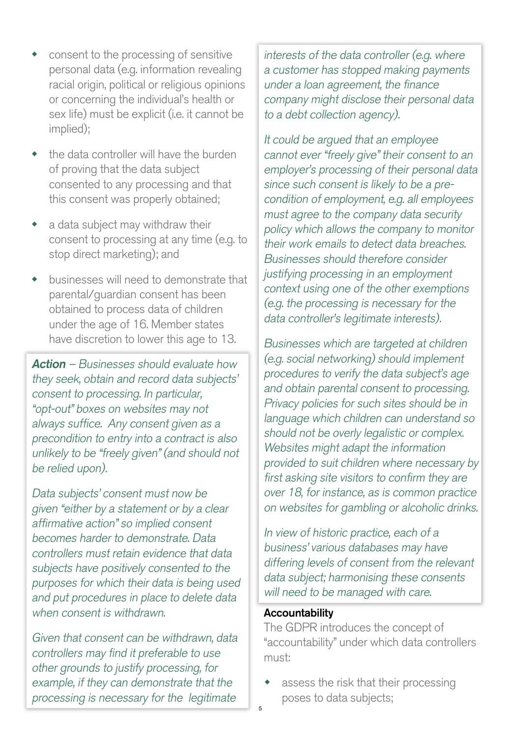- consent to the processing of sensitive personal data (e.g. information revealing racial origin, political or religious opinions or concerning the individual's health or sex life) must be explicit (i.e. it cannot be implied);
- the data controller will have the burden of proving that the data subject consented to any processing and that this consent was properly obtained;
- a data subject may withdraw their consent to processing at any time (e.g. to stop direct marketing); and
- businesses will need to demonstrate that parental/guardian consent has been obtained to process data of children under the age of 16. Member states have discretion to lower this age to 13.

Action – Businesses should evaluate how they seek, obtain and record data subjects' consent to processing. In particular, "opt-out" boxes on websites may not always suffice. Any consent given as a precondition to entry into a contract is also unlikely to be "freely given" (and should not be relied upon).

Data subjects' consent must now be given "either by a statement or by a clear affirmative action" so implied consent becomes harder to demonstrate. Data controllers must retain evidence that data subjects have positively consented to the purposes for which their data is being used and put procedures in place to delete data when consent is withdrawn.

Given that consent can be withdrawn, data controllers may find it preferable to use other grounds to justify processing, for example, if they can demonstrate that the processing is necessary for the legitimate

interests of the data controller (e.g. where a customer has stopped making payments under a loan agreement, the finance company might disclose their personal data to a debt collection agency).

It could be argued that an employee cannot ever "freely give" their consent to an employer's processing of their personal data since such consent is likely to be a precondition of employment, e.g. all employees must agree to the company data security policy which allows the company to monitor their work emails to detect data breaches. Businesses should therefore consider justifying processing in an employment context using one of the other exemptions (e.g. the processing is necessary for the data controller's legitimate interests).

Businesses which are targeted at children (e.g. social networking) should implement procedures to verify the data subject's age and obtain parental consent to processing. Privacy policies for such sites should be in language which children can understand so should not be overly legalistic or complex. Websites might adapt the information provided to suit children where necessary by first asking site visitors to confirm they are over 18, for instance, as is common practice on websites for gambling or alcoholic drinks.

In view of historic practice, each of a business' various databases may have differing levels of consent from the relevant data subject; harmonising these consents will need to be managed with care.

## Accountability

The GDPR introduces the concept of "accountability" under which data controllers must:

assess the risk that their processing poses to data subjects;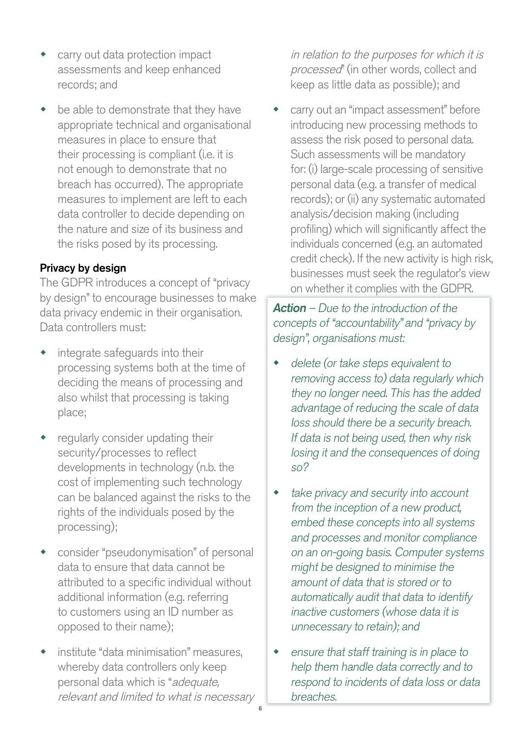- carry out data protection impact assessments and keep enhanced records; and
- be able to demonstrate that they have appropriate technical and organisational measures in place to ensure that their processing is compliant (i.e. it is not enough to demonstrate that no breach has occurred). The appropriate measures to implement are left to each data controller to decide depending on the nature and size of its business and the risks posed by its processing.

## Privacy by design

The GDPR introduces a concept of "privacy by design" to encourage businesses to make data privacy endemic in their organisation. Data controllers must:

- integrate safeguards into their processing systems both at the time of deciding the means of processing and also whilst that processing is taking place;
- regularly consider updating their security/processes to reflect developments in technology (n.b. the cost of implementing such technology can be balanced against the risks to the rights of the individuals posed by the processing);
- consider "pseudonymisation" of personal data to ensure that data cannot be attributed to a specific individual without additional information (e.g. referring to customers using an ID number as opposed to their name);
- institute "data minimisation" measures, whereby data controllers only keep personal data which is "adequate, relevant and limited to what is necessary

in relation to the purposes for which it is processed" (in other words, collect and keep as little data as possible); and

carry out an "impact assessment" before introducing new processing methods to assess the risk posed to personal data. Such assessments will be mandatory for: (i) large-scale processing of sensitive personal data (e.g. a transfer of medical records); or (ii) any systematic automated analysis/decision making (including profiling) which will significantly affect the individuals concerned (e.g. an automated credit check). If the new activity is high risk, businesses must seek the regulator's view on whether it complies with the GDPR.

**Action** – Due to the introduction of the concepts of "accountability" and "privacy by design", organisations must:

- delete (or take steps equivalent to removing access to) data regularly which they no longer need. This has the added advantage of reducing the scale of data loss should there be a security breach. If data is not being used, then why risk losing it and the consequences of doing so?
- take privacy and security into account from the inception of a new product, embed these concepts into all systems and processes and monitor compliance on an on-going basis. Computer systems might be designed to minimise the amount of data that is stored or to automatically audit that data to identify inactive customers (whose data it is unnecessary to retain); and
- $\bullet$  ensure that staff training is in place to help them handle data correctly and to respond to incidents of data loss or data breaches.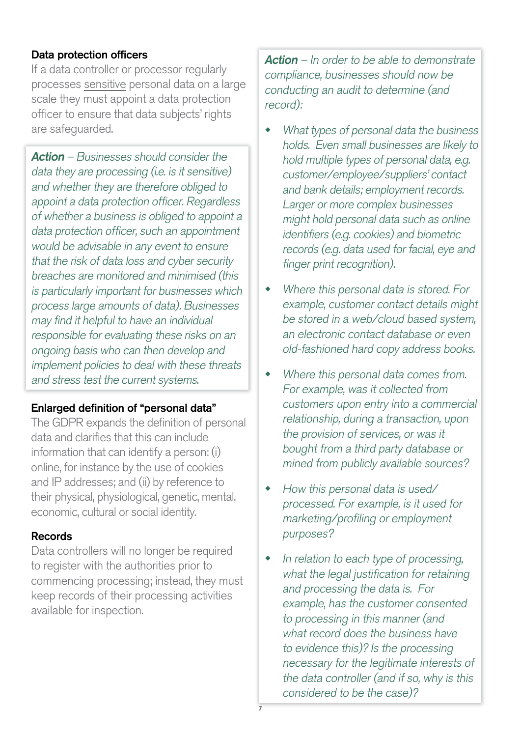## Data protection officers

If a data controller or processor regularly processes sensitive personal data on a large scale they must appoint a data protection officer to ensure that data subjects' rights are safeguarded.

Action – Businesses should consider the data they are processing (i.e. is it sensitive) and whether they are therefore obliged to appoint a data protection officer. Regardless of whether a business is obliged to appoint a data protection officer, such an appointment would be advisable in any event to ensure that the risk of data loss and cyber security breaches are monitored and minimised (this is particularly important for businesses which process large amounts of data). Businesses may find it helpful to have an individual responsible for evaluating these risks on an ongoing basis who can then develop and implement policies to deal with these threats and stress test the current systems.

## Enlarged definition of "personal data"

The GDPR expands the definition of personal data and clarifies that this can include information that can identify a person: (i) online, for instance by the use of cookies and IP addresses; and (ii) by reference to their physical, physiological, genetic, mental, economic, cultural or social identity.

## Records

Data controllers will no longer be required to register with the authorities prior to commencing processing; instead, they must keep records of their processing activities available for inspection.

**Action** – In order to be able to demonstrate compliance, businesses should now be conducting an audit to determine (and record):

- What types of personal data the business holds. Even small businesses are likely to hold multiple types of personal data, e.g. customer/employee/suppliers' contact and bank details; employment records. Larger or more complex businesses might hold personal data such as online identifiers (e.g. cookies) and biometric records (e.g. data used for facial, eye and finger print recognition).
- Where this personal data is stored. For example, customer contact details might be stored in a web/cloud based system, an electronic contact database or even old-fashioned hard copy address books.
- Where this personal data comes from. For example, was it collected from customers upon entry into a commercial relationship, during a transaction, upon the provision of services, or was it bought from a third party database or mined from publicly available sources?
- $\bullet$  How this personal data is used/ processed. For example, is it used for marketing/profiling or employment purposes?
- In relation to each type of processing, what the legal justification for retaining and processing the data is. For example, has the customer consented to processing in this manner (and what record does the business have to evidence this)? Is the processing necessary for the legitimate interests of the data controller (and if so, why is this considered to be the case)?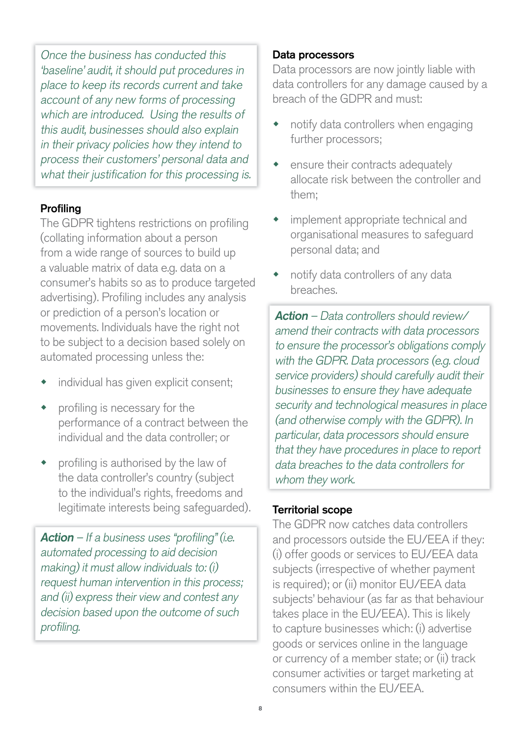Once the business has conducted this 'baseline' audit, it should put procedures in place to keep its records current and take account of any new forms of processing which are introduced. Using the results of this audit, businesses should also explain in their privacy policies how they intend to process their customers' personal data and what their justification for this processing is.

## Profiling

The GDPR tightens restrictions on profiling (collating information about a person from a wide range of sources to build up a valuable matrix of data e.g. data on a consumer's habits so as to produce targeted advertising). Profiling includes any analysis or prediction of a person's location or movements. Individuals have the right not to be subject to a decision based solely on automated processing unless the:

- individual has given explicit consent;
- profiling is necessary for the performance of a contract between the individual and the data controller; or
- profiling is authorised by the law of the data controller's country (subject to the individual's rights, freedoms and legitimate interests being safeguarded).

**Action** – If a business uses "profiling" (i.e. automated processing to aid decision making) it must allow individuals to: (i) request human intervention in this process; and (ii) express their view and contest any decision based upon the outcome of such profiling.

#### Data processors

Data processors are now jointly liable with data controllers for any damage caused by a breach of the GDPR and must:

- $\bullet$  notify data controllers when engaging further processors;
- $\bullet$  ensure their contracts adequately allocate risk between the controller and them;
- implement appropriate technical and organisational measures to safeguard personal data; and
- notify data controllers of any data breaches.

Action – Data controllers should review/ amend their contracts with data processors to ensure the processor's obligations comply with the GDPR. Data processors (e.g. cloud service providers) should carefully audit their businesses to ensure they have adequate security and technological measures in place (and otherwise comply with the GDPR). In particular, data processors should ensure that they have procedures in place to report data breaches to the data controllers for whom they work.

#### Territorial scope

The GDPR now catches data controllers and processors outside the EU/EEA if they: (i) offer goods or services to EU/EEA data subjects (irrespective of whether payment is required); or (ii) monitor EU/EEA data subjects' behaviour (as far as that behaviour takes place in the EU/EEA). This is likely to capture businesses which: (i) advertise goods or services online in the language or currency of a member state; or (ii) track consumer activities or target marketing at consumers within the EU/EEA.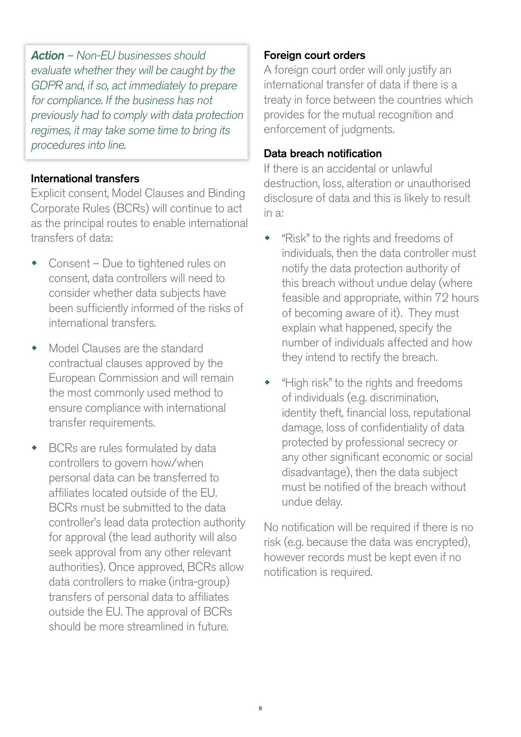Action – Non-EU businesses should evaluate whether they will be caught by the GDPR and, if so, act immediately to prepare for compliance. If the business has not previously had to comply with data protection regimes, it may take some time to bring its procedures into line.

## International transfers

Explicit consent, Model Clauses and Binding Corporate Rules (BCRs) will continue to act as the principal routes to enable international transfers of data:

- Consent Due to tightened rules on consent, data controllers will need to consider whether data subjects have been sufficiently informed of the risks of international transfers.
- Model Clauses are the standard contractual clauses approved by the European Commission and will remain the most commonly used method to ensure compliance with international transfer requirements.
- BCRs are rules formulated by data controllers to govern how/when personal data can be transferred to affiliates located outside of the EU. BCRs must be submitted to the data controller's lead data protection authority for approval (the lead authority will also seek approval from any other relevant authorities). Once approved, BCRs allow data controllers to make (intra-group) transfers of personal data to affiliates outside the EU. The approval of BCRs should be more streamlined in future.

#### Foreign court orders

A foreign court order will only justify an international transfer of data if there is a treaty in force between the countries which provides for the mutual recognition and enforcement of judgments.

#### Data breach notification

If there is an accidental or unlawful destruction, loss, alteration or unauthorised disclosure of data and this is likely to result in a:

- "Risk" to the rights and freedoms of individuals, then the data controller must notify the data protection authority of this breach without undue delay (where feasible and appropriate, within 72 hours of becoming aware of it). They must explain what happened, specify the number of individuals affected and how they intend to rectify the breach.
- "High risk" to the rights and freedoms of individuals (e.g. discrimination, identity theft, financial loss, reputational damage, loss of confidentiality of data protected by professional secrecy or any other significant economic or social disadvantage), then the data subject must be notified of the breach without undue delay.

No notification will be required if there is no risk (e.g. because the data was encrypted), however records must be kept even if no notification is required.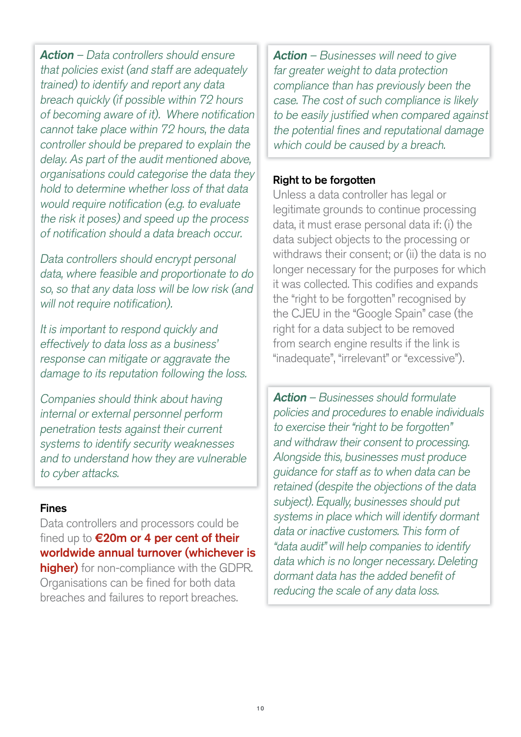Action – Data controllers should ensure that policies exist (and staff are adequately trained) to identify and report any data breach quickly (if possible within 72 hours of becoming aware of it). Where notification cannot take place within 72 hours, the data controller should be prepared to explain the delay. As part of the audit mentioned above, organisations could categorise the data they hold to determine whether loss of that data would require notification (e.g. to evaluate the risk it poses) and speed up the process of notification should a data breach occur.

Data controllers should encrypt personal data, where feasible and proportionate to do so, so that any data loss will be low risk (and will not require notification).

It is important to respond quickly and effectively to data loss as a business' response can mitigate or aggravate the damage to its reputation following the loss.

Companies should think about having internal or external personnel perform penetration tests against their current systems to identify security weaknesses and to understand how they are vulnerable to cyber attacks.

#### Fines

Data controllers and processors could be fined up to €20m or 4 per cent of their worldwide annual turnover (whichever is higher) for non-compliance with the GDPR. Organisations can be fined for both data breaches and failures to report breaches.

**Action** – Businesses will need to give far greater weight to data protection compliance than has previously been the case. The cost of such compliance is likely to be easily justified when compared against the potential fines and reputational damage which could be caused by a breach.

#### Right to be forgotten

Unless a data controller has legal or legitimate grounds to continue processing data, it must erase personal data if: (i) the data subject objects to the processing or withdraws their consent; or (ii) the data is no longer necessary for the purposes for which it was collected. This codifies and expands the "right to be forgotten" recognised by the CJEU in the "Google Spain" case (the right for a data subject to be removed from search engine results if the link is "inadequate", "irrelevant" or "excessive").

Action – Businesses should formulate policies and procedures to enable individuals to exercise their "right to be forgotten" and withdraw their consent to processing. Alongside this, businesses must produce guidance for staff as to when data can be retained (despite the objections of the data subject). Equally, businesses should put systems in place which will identify dormant data or inactive customers. This form of "data audit" will help companies to identify data which is no longer necessary. Deleting dormant data has the added benefit of reducing the scale of any data loss.